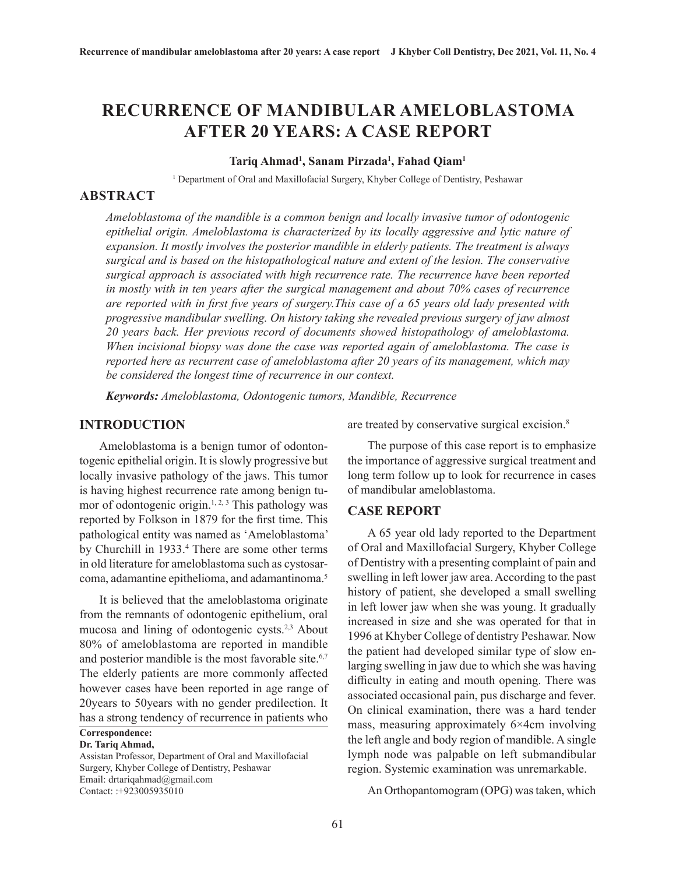# **RECURRENCE OF MANDIBULAR AMELOBLASTOMA AFTER 20 YEARS: A CASE REPORT**

### **Tariq Ahmad1 , Sanam Pirzada1 , Fahad Qiam1**

<sup>1</sup> Department of Oral and Maxillofacial Surgery, Khyber College of Dentistry, Peshawar

### **ABSTRACT**

*Ameloblastoma of the mandible is a common benign and locally invasive tumor of odontogenic epithelial origin. Ameloblastoma is characterized by its locally aggressive and lytic nature of expansion. It mostly involves the posterior mandible in elderly patients. The treatment is always surgical and is based on the histopathological nature and extent of the lesion. The conservative surgical approach is associated with high recurrence rate. The recurrence have been reported in mostly with in ten years after the surgical management and about 70% cases of recurrence are reported with in first five years of surgery.This case of a 65 years old lady presented with progressive mandibular swelling. On history taking she revealed previous surgery of jaw almost 20 years back. Her previous record of documents showed histopathology of ameloblastoma. When incisional biopsy was done the case was reported again of ameloblastoma. The case is reported here as recurrent case of ameloblastoma after 20 years of its management, which may be considered the longest time of recurrence in our context.*

*Keywords: Ameloblastoma, Odontogenic tumors, Mandible, Recurrence*

### **INTRODUCTION**

Ameloblastoma is a benign tumor of odontontogenic epithelial origin. It is slowly progressive but locally invasive pathology of the jaws. This tumor is having highest recurrence rate among benign tumor of odontogenic origin.<sup>1, 2, 3</sup> This pathology was reported by Folkson in 1879 for the first time. This pathological entity was named as 'Ameloblastoma' by Churchill in 1933.<sup>4</sup> There are some other terms in old literature for ameloblastoma such as cystosarcoma, adamantine epithelioma, and adamantinoma.5

It is believed that the ameloblastoma originate from the remnants of odontogenic epithelium, oral mucosa and lining of odontogenic cysts.2,3 About 80% of ameloblastoma are reported in mandible and posterior mandible is the most favorable site.<sup>6,7</sup> The elderly patients are more commonly affected however cases have been reported in age range of 20years to 50years with no gender predilection. It has a strong tendency of recurrence in patients who

**Correspondence:**

#### **Dr. Tariq Ahmad,**

Assistan Professor, Department of Oral and Maxillofacial Surgery, Khyber College of Dentistry, Peshawar Email: drtariqahmad@gmail.com Contact: :+923005935010

are treated by conservative surgical excision.<sup>8</sup>

The purpose of this case report is to emphasize the importance of aggressive surgical treatment and long term follow up to look for recurrence in cases of mandibular ameloblastoma.

### **CASE REPORT**

A 65 year old lady reported to the Department of Oral and Maxillofacial Surgery, Khyber College of Dentistry with a presenting complaint of pain and swelling in left lower jaw area. According to the past history of patient, she developed a small swelling in left lower jaw when she was young. It gradually increased in size and she was operated for that in 1996 at Khyber College of dentistry Peshawar. Now the patient had developed similar type of slow enlarging swelling in jaw due to which she was having difficulty in eating and mouth opening. There was associated occasional pain, pus discharge and fever. On clinical examination, there was a hard tender mass, measuring approximately 6×4cm involving the left angle and body region of mandible. A single lymph node was palpable on left submandibular region. Systemic examination was unremarkable.

An Orthopantomogram (OPG) was taken, which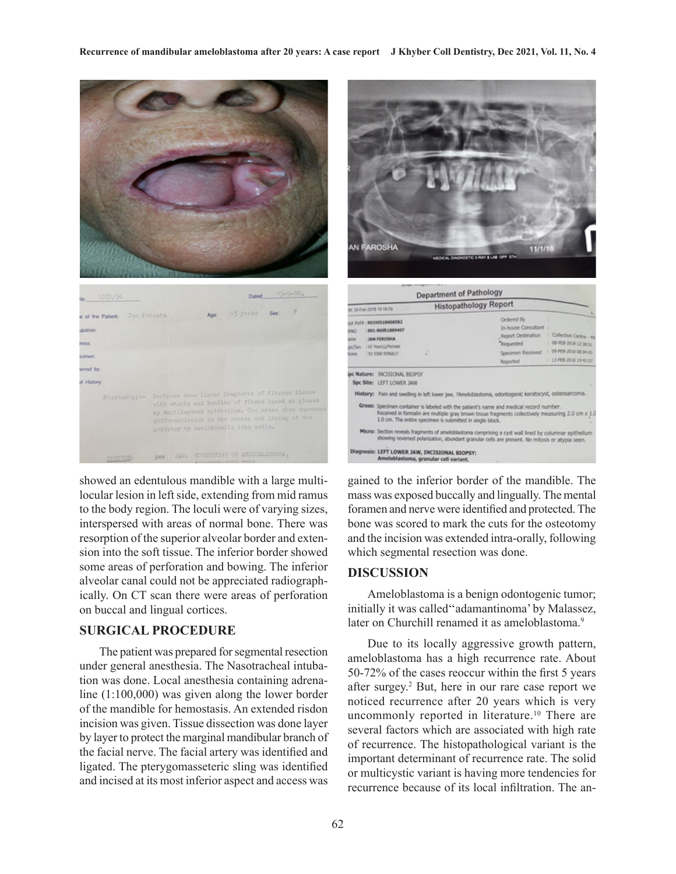

showed an edentulous mandible with a large multilocular lesion in left side, extending from mid ramus to the body region. The loculi were of varying sizes, interspersed with areas of normal bone. There was resorption of the superior alveolar border and extension into the soft tissue. The inferior border showed some areas of perforation and bowing. The inferior alveolar canal could not be appreciated radiographically. On CT scan there were areas of perforation on buccal and lingual cortices.

# **SURGICAL PROCEDURE**

The patient was prepared for segmental resection under general anesthesia. The Nasotracheal intubation was done. Local anesthesia containing adrenaline (1:100,000) was given along the lower border of the mandible for hemostasis. An extended risdon incision was given. Tissue dissection was done layer by layer to protect the marginal mandibular branch of the facial nerve. The facial artery was identified and ligated. The pterygomasseteric sling was identified and incised at its most inferior aspect and access was



| V. 20-Feb-2018 10:18.59    |                                                                                                                                                                                                         |                                                                                       | <b>Histopathology Report</b>                                                                                                                                                                 |                                                                                                       |
|----------------------------|---------------------------------------------------------------------------------------------------------------------------------------------------------------------------------------------------------|---------------------------------------------------------------------------------------|----------------------------------------------------------------------------------------------------------------------------------------------------------------------------------------------|-------------------------------------------------------------------------------------------------------|
| OW.<br>me:<br>elSex<br>one | of Ref # : 001/41518008582<br>1001-00001889407<br><b>I JAN FERONIA</b><br>: 45 Year(s)/Female<br>152 0300 9296617                                                                                       |                                                                                       | Ordered By<br>In-house Consultant :<br>Report Destination<br>"Requested<br>Specimen Received<br>Reported                                                                                     | : Collection Centre - 49<br>(084EB-2018 12:38:51)<br>1 09-FEB-2018 08:04:43<br>: 13-FEB-2018 19:42-07 |
|                            | <b>pc Nature: INCISIONAL BIOPSY</b><br>Spc Site: LEFT LOWER JAW                                                                                                                                         |                                                                                       |                                                                                                                                                                                              |                                                                                                       |
|                            |                                                                                                                                                                                                         |                                                                                       | History: Pain and swelling in left lower jaw, ?Ameloblastoma, odontogenic keratocyst, osteosarcoma.                                                                                          |                                                                                                       |
|                            |                                                                                                                                                                                                         | 1.0 cm. The entire specimen is submitted in single block.                             | Gross: Specimen container is labeled with the patient's name and medical record number.<br>Received in formalin are multiple gray brown tissue fragments collectively measuring 2.0 cm x 1.0 |                                                                                                       |
|                            | Micro: Section reveals fragments of ameloblastoma comprising a cyst wall lined by columnar epithelium<br>showing reversed polarization, abundant granular cells are present. No mitosis or atypia seen. |                                                                                       |                                                                                                                                                                                              |                                                                                                       |
|                            |                                                                                                                                                                                                         | Diagnosis: LEFT LOWER JAW, INCISIONAL BIOPSY:<br>Amelohlastoma, organism cell variant |                                                                                                                                                                                              |                                                                                                       |

gained to the inferior border of the mandible. The mass was exposed buccally and lingually. The mental foramen and nerve were identified and protected. The bone was scored to mark the cuts for the osteotomy and the incision was extended intra-orally, following which segmental resection was done.

### **DISCUSSION**

Ameloblastoma is a benign odontogenic tumor; initially it was called''adamantinoma' by Malassez, later on Churchill renamed it as ameloblastoma.<sup>9</sup>

Due to its locally aggressive growth pattern, ameloblastoma has a high recurrence rate. About 50-72% of the cases reoccur within the first 5 years after surgey.2 But, here in our rare case report we noticed recurrence after 20 years which is very uncommonly reported in literature.<sup>10</sup> There are several factors which are associated with high rate of recurrence. The histopathological variant is the important determinant of recurrence rate. The solid or multicystic variant is having more tendencies for recurrence because of its local infiltration. The an